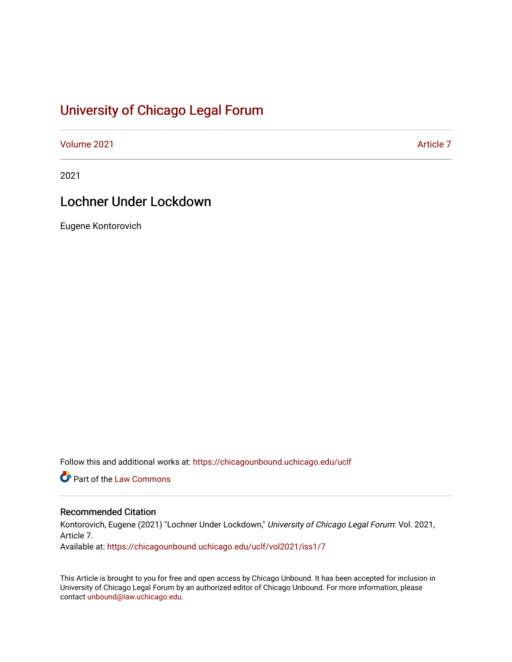# [University of Chicago Legal Forum](https://chicagounbound.uchicago.edu/uclf)

[Volume 2021](https://chicagounbound.uchicago.edu/uclf/vol2021) **Article 7** Article 7

2021

# Lochner Under Lockdown

Eugene Kontorovich

Follow this and additional works at: [https://chicagounbound.uchicago.edu/uclf](https://chicagounbound.uchicago.edu/uclf?utm_source=chicagounbound.uchicago.edu%2Fuclf%2Fvol2021%2Fiss1%2F7&utm_medium=PDF&utm_campaign=PDFCoverPages) 

Part of the [Law Commons](https://network.bepress.com/hgg/discipline/578?utm_source=chicagounbound.uchicago.edu%2Fuclf%2Fvol2021%2Fiss1%2F7&utm_medium=PDF&utm_campaign=PDFCoverPages)

### Recommended Citation

Kontorovich, Eugene (2021) "Lochner Under Lockdown," University of Chicago Legal Forum: Vol. 2021, Article 7.

Available at: [https://chicagounbound.uchicago.edu/uclf/vol2021/iss1/7](https://chicagounbound.uchicago.edu/uclf/vol2021/iss1/7?utm_source=chicagounbound.uchicago.edu%2Fuclf%2Fvol2021%2Fiss1%2F7&utm_medium=PDF&utm_campaign=PDFCoverPages) 

This Article is brought to you for free and open access by Chicago Unbound. It has been accepted for inclusion in University of Chicago Legal Forum by an authorized editor of Chicago Unbound. For more information, please contact [unbound@law.uchicago.edu](mailto:unbound@law.uchicago.edu).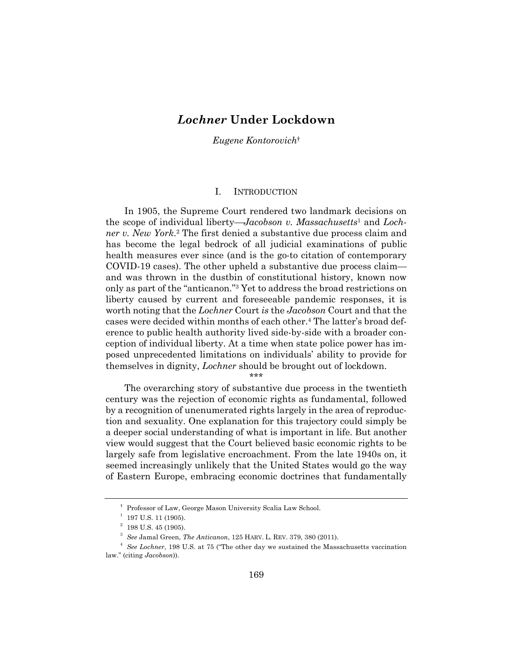## *Lochner* **Under Lockdown**

*Eugene Kontorovich*†

#### I. INTRODUCTION

In 1905, the Supreme Court rendered two landmark decisions on the scope of individual liberty—*Jacobson v. Massachusetts*<sup>1</sup> and *Lochner v. New York*.2 The first denied a substantive due process claim and has become the legal bedrock of all judicial examinations of public health measures ever since (and is the go-to citation of contemporary COVID-19 cases). The other upheld a substantive due process claim and was thrown in the dustbin of constitutional history, known now only as part of the "anticanon."3 Yet to address the broad restrictions on liberty caused by current and foreseeable pandemic responses, it is worth noting that the *Lochner* Court *is* the *Jacobson* Court and that the cases were decided within months of each other.4 The latter's broad deference to public health authority lived side-by-side with a broader conception of individual liberty. At a time when state police power has imposed unprecedented limitations on individuals' ability to provide for themselves in dignity, *Lochner* should be brought out of lockdown.

\*\*\*

The overarching story of substantive due process in the twentieth century was the rejection of economic rights as fundamental, followed by a recognition of unenumerated rights largely in the area of reproduction and sexuality. One explanation for this trajectory could simply be a deeper social understanding of what is important in life. But another view would suggest that the Court believed basic economic rights to be largely safe from legislative encroachment. From the late 1940s on, it seemed increasingly unlikely that the United States would go the way of Eastern Europe, embracing economic doctrines that fundamentally

<sup>†</sup> Professor of Law, George Mason University Scalia Law School.

 $1$  197 U.S. 11 (1905).

 $2$  198 U.S. 45 (1905).

<sup>3</sup> *See* Jamal Green, *The Anticanon*, 125 HARV. L. REV. 379, 380 (2011).

<sup>4</sup> *See Lochner*, 198 U.S. at 75 ("The other day we sustained the Massachusetts vaccination law." (citing *Jacobson*)).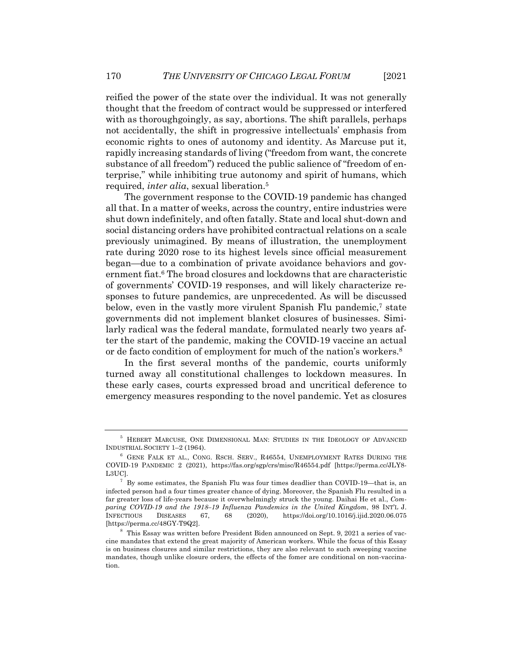reified the power of the state over the individual. It was not generally thought that the freedom of contract would be suppressed or interfered with as thoroughgoingly, as say, abortions. The shift parallels, perhaps not accidentally, the shift in progressive intellectuals' emphasis from economic rights to ones of autonomy and identity. As Marcuse put it, rapidly increasing standards of living ("freedom from want, the concrete substance of all freedom") reduced the public salience of "freedom of enterprise," while inhibiting true autonomy and spirit of humans, which required, *inter alia*, sexual liberation.5

The government response to the COVID-19 pandemic has changed all that. In a matter of weeks, across the country, entire industries were shut down indefinitely, and often fatally. State and local shut-down and social distancing orders have prohibited contractual relations on a scale previously unimagined. By means of illustration, the unemployment rate during 2020 rose to its highest levels since official measurement began—due to a combination of private avoidance behaviors and government fiat.6 The broad closures and lockdowns that are characteristic of governments' COVID-19 responses, and will likely characterize responses to future pandemics, are unprecedented. As will be discussed below, even in the vastly more virulent Spanish Flu pandemic,<sup>7</sup> state governments did not implement blanket closures of businesses. Similarly radical was the federal mandate, formulated nearly two years after the start of the pandemic, making the COVID-19 vaccine an actual or de facto condition of employment for much of the nation's workers.<sup>8</sup>

In the first several months of the pandemic, courts uniformly turned away all constitutional challenges to lockdown measures. In these early cases, courts expressed broad and uncritical deference to emergency measures responding to the novel pandemic. Yet as closures

<sup>5</sup> HEBERT MARCUSE, ONE DIMENSIONAL MAN: STUDIES IN THE IDEOLOGY OF ADVANCED INDUSTRIAL SOCIETY 1–2 (1964).

<sup>6</sup> GENE FALK ET AL., CONG. RSCH. SERV., R46554, UNEMPLOYMENT RATES DURING THE COVID-19 PANDEMIC 2 (2021), https://fas.org/sgp/crs/misc/R46554.pdf [https://perma.cc/JLY8- L3UC].

By some estimates, the Spanish Flu was four times deadlier than COVID-19—that is, an infected person had a four times greater chance of dying. Moreover, the Spanish Flu resulted in a far greater loss of life-years because it overwhelmingly struck the young. Daihai He et al., *Comparing COVID-19 and the 1918–19 Influenza Pandemics in the United Kingdom*, 98 INT'L J. INFECTIOUS DISEASES 67, 68 (2020), https://doi.org/10.1016/j.ijid.2020.06.075 [https://perma.cc/48GY-T9Q2].

 $8$  This Essay was written before President Biden announced on Sept. 9, 2021 a series of vaccine mandates that extend the great majority of American workers. While the focus of this Essay is on business closures and similar restrictions, they are also relevant to such sweeping vaccine mandates, though unlike closure orders, the effects of the fomer are conditional on non-vaccination.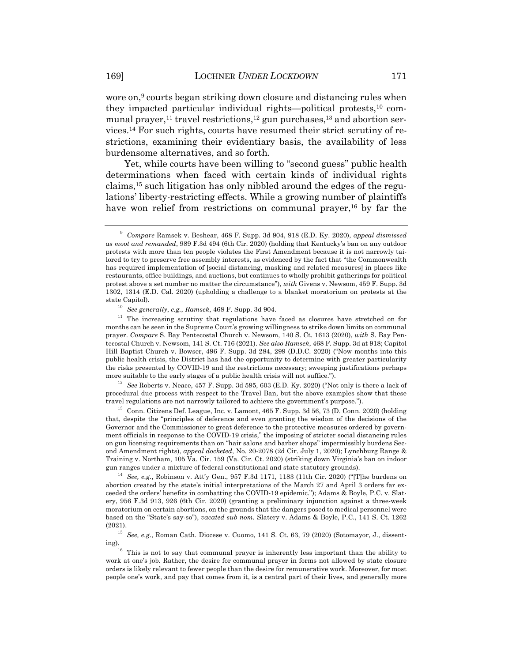wore on,<sup>9</sup> courts began striking down closure and distancing rules when they impacted particular individual rights—political protests,10 communal prayer,<sup>11</sup> travel restrictions,<sup>12</sup> gun purchases,<sup>13</sup> and abortion services.14 For such rights, courts have resumed their strict scrutiny of restrictions, examining their evidentiary basis, the availability of less burdensome alternatives, and so forth.

Yet, while courts have been willing to "second guess" public health determinations when faced with certain kinds of individual rights claims,15 such litigation has only nibbled around the edges of the regulations' liberty-restricting effects. While a growing number of plaintiffs have won relief from restrictions on communal prayer,<sup>16</sup> by far the

<sup>12</sup> *See* Roberts v. Neace, 457 F. Supp. 3d 595, 603 (E.D. Ky. 2020) ("Not only is there a lack of procedural due process with respect to the Travel Ban, but the above examples show that these travel regulations are not narrowly tailored to achieve the government's purpose.").

<sup>13</sup> Conn. Citizens Def. League, Inc. v. Lamont,  $465$  F. Supp. 3d 56, 73 (D. Conn. 2020) (holding that, despite the "principles of deference and even granting the wisdom of the decisions of the Governor and the Commissioner to great deference to the protective measures ordered by government officials in response to the COVID-19 crisis," the imposing of stricter social distancing rules on gun licensing requirements than on "hair salons and barber shops" impermissibly burdens Second Amendment rights), *appeal docketed*, No. 20-2078 (2d Cir. July 1, 2020); Lynchburg Range & Training v. Northam, 105 Va. Cir. 159 (Va. Cir. Ct. 2020) (striking down Virginia's ban on indoor gun ranges under a mixture of federal constitutional and state statutory grounds).

<sup>14</sup> *See, e.g.*, Robinson v. Att'y Gen., 957 F.3d 1171, 1183 (11th Cir. 2020) ("[T]he burdens on abortion created by the state's initial interpretations of the March 27 and April 3 orders far exceeded the orders' benefits in combatting the COVID-19 epidemic."); Adams & Boyle, P.C. v. Slatery, 956 F.3d 913, 926 (6th Cir. 2020) (granting a preliminary injunction against a three-week moratorium on certain abortions, on the grounds that the dangers posed to medical personnel were based on the "State's say-so"), *vacated sub nom.* Slatery v. Adams & Boyle, P.C., 141 S. Ct. 1262 (2021).

<sup>15</sup> *See, e.g.*, Roman Cath. Diocese v. Cuomo, 141 S. Ct. 63, 79 (2020) (Sotomayor, J., dissenting).<br><sup>16</sup> This is not to say that communal prayer is inherently less important than the ability to

work at one's job. Rather, the desire for communal prayer in forms not allowed by state closure orders is likely relevant to fewer people than the desire for remunerative work. Moreover, for most people one's work, and pay that comes from it, is a central part of their lives, and generally more

<sup>9</sup> *Compare* Ramsek v. Beshear, 468 F. Supp. 3d 904, 918 (E.D. Ky. 2020), *appeal dismissed as moot and remanded*, 989 F.3d 494 (6th Cir. 2020) (holding that Kentucky's ban on any outdoor protests with more than ten people violates the First Amendment because it is not narrowly tailored to try to preserve free assembly interests, as evidenced by the fact that "the Commonwealth has required implementation of [social distancing, masking and related measures] in places like restaurants, office buildings, and auctions, but continues to wholly prohibit gatherings for political protest above a set number no matter the circumstance"), *with* Givens v. Newsom, 459 F. Supp. 3d 1302, 1314 (E.D. Cal. 2020) (upholding a challenge to a blanket moratorium on protests at the state Capitol).

<sup>10</sup> *See generally*, *e.g.*, *Ramsek*, 468 F. Supp. 3d 904.

<sup>&</sup>lt;sup>11</sup> The increasing scrutiny that regulations have faced as closures have stretched on for months can be seen in the Supreme Court's growing willingness to strike down limits on communal prayer. *Compare* S. Bay Pentecostal Church v. Newsom, 140 S. Ct. 1613 (2020), *with* S. Bay Pentecostal Church v. Newsom, 141 S. Ct. 716 (2021). *See also Ramsek*, 468 F. Supp. 3d at 918; Capitol Hill Baptist Church v. Bowser, 496 F. Supp. 3d 284, 299 (D.D.C. 2020) ("Now months into this public health crisis, the District has had the opportunity to determine with greater particularity the risks presented by COVID-19 and the restrictions necessary; sweeping justifications perhaps more suitable to the early stages of a public health crisis will not suffice.").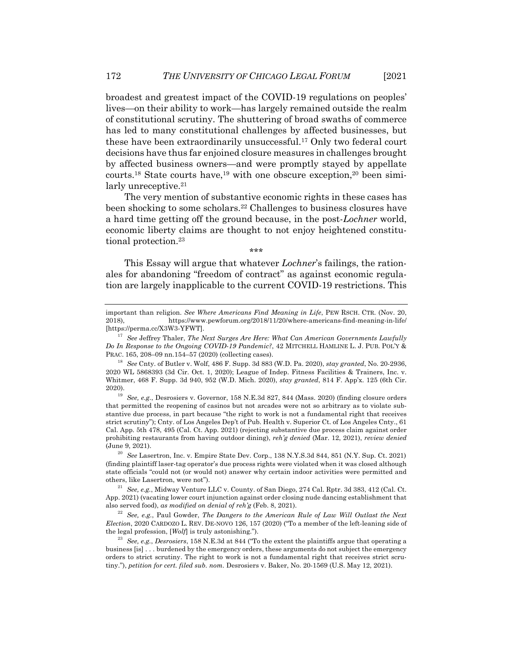broadest and greatest impact of the COVID-19 regulations on peoples' lives—on their ability to work—has largely remained outside the realm of constitutional scrutiny. The shuttering of broad swaths of commerce has led to many constitutional challenges by affected businesses, but these have been extraordinarily unsuccessful.17 Only two federal court decisions have thus far enjoined closure measures in challenges brought by affected business owners—and were promptly stayed by appellate courts.<sup>18</sup> State courts have,<sup>19</sup> with one obscure exception,<sup>20</sup> been similarly unreceptive.<sup>21</sup>

The very mention of substantive economic rights in these cases has been shocking to some scholars.22 Challenges to business closures have a hard time getting off the ground because, in the post-*Lochner* world, economic liberty claims are thought to not enjoy heightened constitutional protection.23

\*\*\*

This Essay will argue that whatever *Lochner*'s failings, the rationales for abandoning "freedom of contract" as against economic regulation are largely inapplicable to the current COVID-19 restrictions. This

important than religion. *See Where Americans Find Meaning in Life*, PEW RSCH. CTR. (Nov. 20, 2018), https://www.pewforum.org/2018/11/20/where-americans-find-meaning-in-life/ [https://perma.cc/X3W3-YFWT].

<sup>17</sup> *See* Jeffrey Thaler, *The Next Surges Are Here: What Can American Governments Lawfully Do In Response to the Ongoing COVID-19 Pandemic?*, 42 MITCHELL HAMLINE L. J. PUB. POL'Y & PRAC. 165, 208–09 nn.154–57 (2020) (collecting cases).

<sup>18</sup> *See* Cnty. of Butler v. Wolf, 486 F. Supp. 3d 883 (W.D. Pa. 2020), *stay granted*, No. 20-2936, 2020 WL 5868393 (3d Cir. Oct. 1, 2020); League of Indep. Fitness Facilities & Trainers, Inc. v. Whitmer, 468 F. Supp. 3d 940, 952 (W.D. Mich. 2020), *stay granted*, 814 F. App'x. 125 (6th Cir. 2020).

<sup>19</sup> *See, e.g.*, Desrosiers v. Governor, 158 N.E.3d 827, 844 (Mass. 2020) (finding closure orders that permitted the reopening of casinos but not arcades were not so arbitrary as to violate substantive due process, in part because "the right to work is not a fundamental right that receives strict scrutiny"); Cnty. of Los Angeles Dep't of Pub. Health v. Superior Ct. of Los Angeles Cnty., 61 Cal. App. 5th 478, 495 (Cal. Ct. App. 2021) (rejecting substantive due process claim against order prohibiting restaurants from having outdoor dining), *reh'g denied* (Mar. 12, 2021), *review denied* (June 9, 2021).

<sup>20</sup> *See* Lasertron, Inc. v. Empire State Dev. Corp., 138 N.Y.S.3d 844, 851 (N.Y. Sup. Ct. 2021) (finding plaintiff laser-tag operator's due process rights were violated when it was closed although state officials "could not (or would not) answer why certain indoor activities were permitted and others, like Lasertron, were not").

<sup>21</sup> *See, e.g.*, Midway Venture LLC v. County. of San Diego, 274 Cal. Rptr. 3d 383, 412 (Cal. Ct. App. 2021) (vacating lower court injunction against order closing nude dancing establishment that also served food), *as modified on denial of reh'g* (Feb. 8, 2021).

<sup>22</sup> *See, e.g.*, Paul Gowder, *The Dangers to the American Rule of Law Will Outlast the Next Election*, 2020 CARDOZO L. REV. DE-NOVO 126, 157 (2020) ("To a member of the left-leaning side of the legal profession, [*Wolf*] is truly astonishing.").

<sup>23</sup> *See, e.g.*, *Desrosiers*, 158 N.E.3d at 844 ("To the extent the plaintiffs argue that operating a business [is] . . . burdened by the emergency orders, these arguments do not subject the emergency orders to strict scrutiny. The right to work is not a fundamental right that receives strict scrutiny."), *petition for cert. filed sub. nom.* Desrosiers v. Baker, No. 20-1569 (U.S. May 12, 2021).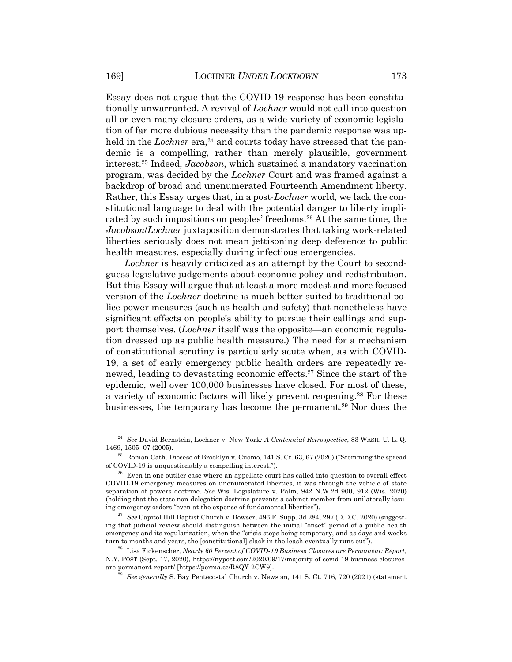Essay does not argue that the COVID-19 response has been constitutionally unwarranted. A revival of *Lochner* would not call into question all or even many closure orders, as a wide variety of economic legislation of far more dubious necessity than the pandemic response was upheld in the *Lochner* era,<sup>24</sup> and courts today have stressed that the pandemic is a compelling, rather than merely plausible, government interest.25 Indeed, *Jacobson*, which sustained a mandatory vaccination program, was decided by the *Lochner* Court and was framed against a backdrop of broad and unenumerated Fourteenth Amendment liberty. Rather, this Essay urges that, in a post-*Lochner* world, we lack the constitutional language to deal with the potential danger to liberty implicated by such impositions on peoples' freedoms.26 At the same time, the *Jacobson*/*Lochner* juxtaposition demonstrates that taking work-related liberties seriously does not mean jettisoning deep deference to public health measures, especially during infectious emergencies.

*Lochner* is heavily criticized as an attempt by the Court to secondguess legislative judgements about economic policy and redistribution. But this Essay will argue that at least a more modest and more focused version of the *Lochner* doctrine is much better suited to traditional police power measures (such as health and safety) that nonetheless have significant effects on people's ability to pursue their callings and support themselves. (*Lochner* itself was the opposite—an economic regulation dressed up as public health measure.) The need for a mechanism of constitutional scrutiny is particularly acute when, as with COVID-19, a set of early emergency public health orders are repeatedly renewed, leading to devastating economic effects.27 Since the start of the epidemic, well over 100,000 businesses have closed. For most of these, a variety of economic factors will likely prevent reopening.28 For these businesses, the temporary has become the permanent.29 Nor does the

<sup>24</sup> *See* David Bernstein, Lochner v. New York*: A Centennial Retrospective*, 83 WASH. U. L. Q. 1469, 1505–07 (2005).

 $25$  Roman Cath. Diocese of Brooklyn v. Cuomo, 141 S. Ct. 63, 67 (2020) ("Stemming the spread of COVID-19 is unquestionably a compelling interest.").

 $26$  Even in one outlier case where an appellate court has called into question to overall effect COVID-19 emergency measures on unenumerated liberties, it was through the vehicle of state separation of powers doctrine. *See* Wis. Legislature v. Palm, 942 N.W.2d 900, 912 (Wis. 2020) (holding that the state non-delegation doctrine prevents a cabinet member from unilaterally issuing emergency orders "even at the expense of fundamental liberties").

<sup>27</sup> *See* Capitol Hill Baptist Church v. Bowser, 496 F. Supp. 3d 284, 297 (D.D.C. 2020) (suggesting that judicial review should distinguish between the initial "onset" period of a public health emergency and its regularization, when the "crisis stops being temporary, and as days and weeks turn to months and years, the [constitutional] slack in the leash eventually runs out").

<sup>28</sup> Lisa Fickenscher, *Nearly 60 Percent of COVID-19 Business Closures are Permanent: Report*, N.Y. POST (Sept. 17, 2020), https://nypost.com/2020/09/17/majority-of-covid-19-business-closuresare-permanent-report/ [https://perma.cc/R8QY-2CW9].

<sup>29</sup> *See generally* S. Bay Pentecostal Church v. Newsom, 141 S. Ct. 716, 720 (2021) (statement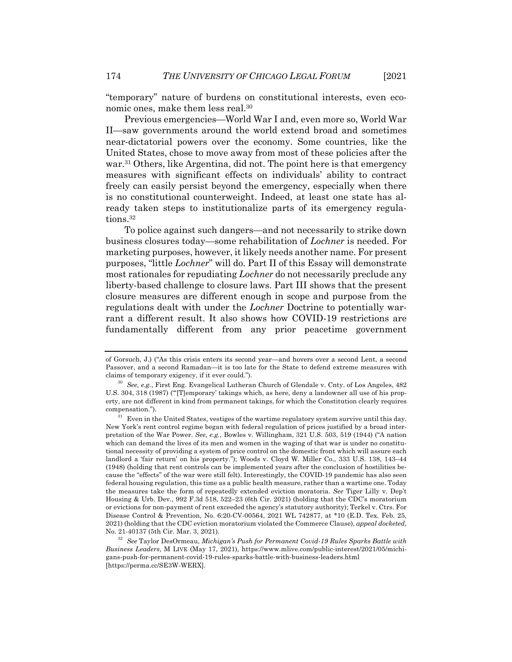"temporary" nature of burdens on constitutional interests, even economic ones, make them less real.30

Previous emergencies—World War I and, even more so, World War II—saw governments around the world extend broad and sometimes near-dictatorial powers over the economy. Some countries, like the United States, chose to move away from most of these policies after the war.31 Others, like Argentina, did not. The point here is that emergency measures with significant effects on individuals' ability to contract freely can easily persist beyond the emergency, especially when there is no constitutional counterweight. Indeed, at least one state has already taken steps to institutionalize parts of its emergency regulations.32

To police against such dangers—and not necessarily to strike down business closures today—some rehabilitation of *Lochner* is needed. For marketing purposes, however, it likely needs another name. For present purposes, "little *Lochner*" will do. Part II of this Essay will demonstrate most rationales for repudiating *Lochner* do not necessarily preclude any liberty-based challenge to closure laws. Part III shows that the present closure measures are different enough in scope and purpose from the regulations dealt with under the *Lochner* Doctrine to potentially warrant a different result. It also shows how COVID-19 restrictions are fundamentally different from any prior peacetime government

of Gorsuch, J.) ("As this crisis enters its second year—and hovers over a second Lent, a second Passover, and a second Ramadan—it is too late for the State to defend extreme measures with claims of temporary exigency, if it ever could.").

<sup>30</sup> *See, e.g.*, First Eng. Evangelical Lutheran Church of Glendale v. Cnty. of Los Angeles, 482 U.S. 304, 318 (1987) ("Temporary' takings which, as here, deny a landowner all use of his property, are not different in kind from permanent takings, for which the Constitution clearly requires compensation.").

 $31\,\,$  Even in the United States, vestiges of the wartime regulatory system survive until this day. New York's rent control regime began with federal regulation of prices justified by a broad interpretation of the War Power. *See, e.g.*, Bowles v. Willingham, 321 U.S. 503, 519 (1944) ("A nation which can demand the lives of its men and women in the waging of that war is under no constitutional necessity of providing a system of price control on the domestic front which will assure each landlord a 'fair return' on his property."); Woods v. Cloyd W. Miller Co., 333 U.S. 138, 143–44 (1948) (holding that rent controls can be implemented years after the conclusion of hostilities because the "effects" of the war were still felt). Interestingly, the COVID-19 pandemic has also seen federal housing regulation, this time as a public health measure, rather than a wartime one. Today the measures take the form of repeatedly extended eviction moratoria. *See* Tiger Lilly v. Dep't Housing & Urb. Dev., 992 F.3d 518, 522–23 (6th Cir. 2021) (holding that the CDC's moratorium or evictions for non-payment of rent exceeded the agency's statutory authority); Terkel v. Ctrs. For Disease Control & Prevention, No. 6:20-CV-00564, 2021 WL 742877, at \*10 (E.D. Tex. Feb. 25, 2021) (holding that the CDC eviction moratorium violated the Commerce Clause), *appeal docketed*, No. 21-40137 (5th Cir. Mar. 3, 2021).

<sup>32</sup> *See* Taylor DesOrmeau, *Michigan's Push for Permanent Covid-19 Rules Sparks Battle with Business Leaders*, M LIVE (May 17, 2021), https://www.mlive.com/public-interest/2021/05/michigans-push-for-permanent-covid-19-rules-sparks-battle-with-business-leaders.html [https://perma.cc/SE3W-WERX].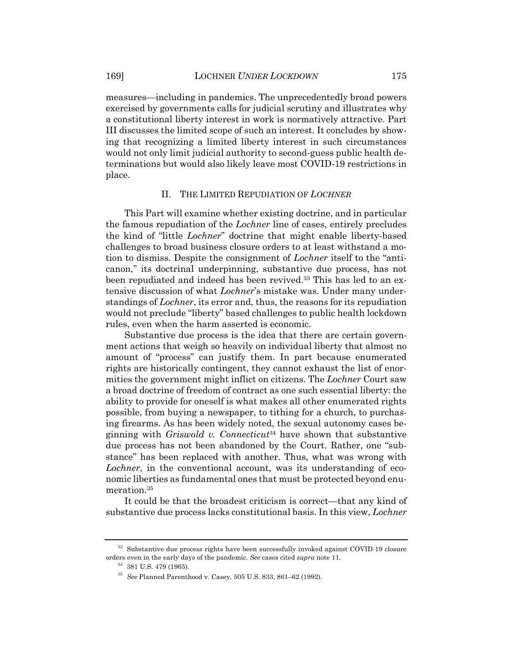measures—including in pandemics. The unprecedentedly broad powers exercised by governments calls for judicial scrutiny and illustrates why a constitutional liberty interest in work is normatively attractive. Part III discusses the limited scope of such an interest. It concludes by showing that recognizing a limited liberty interest in such circumstances would not only limit judicial authority to second-guess public health determinations but would also likely leave most COVID-19 restrictions in place.

#### II. THE LIMITED REPUDIATION OF *LOCHNER*

This Part will examine whether existing doctrine, and in particular the famous repudiation of the *Lochner* line of cases, entirely precludes the kind of "little *Lochner*" doctrine that might enable liberty-based challenges to broad business closure orders to at least withstand a motion to dismiss. Despite the consignment of *Lochner* itself to the "anticanon," its doctrinal underpinning, substantive due process, has not been repudiated and indeed has been revived.<sup>33</sup> This has led to an extensive discussion of what *Lochner*'s mistake was. Under many understandings of *Lochner*, its error and, thus, the reasons for its repudiation would not preclude "liberty" based challenges to public health lockdown rules, even when the harm asserted is economic.

Substantive due process is the idea that there are certain government actions that weigh so heavily on individual liberty that almost no amount of "process" can justify them. In part because enumerated rights are historically contingent, they cannot exhaust the list of enormities the government might inflict on citizens. The *Lochner* Court saw a broad doctrine of freedom of contract as one such essential liberty: the ability to provide for oneself is what makes all other enumerated rights possible, from buying a newspaper, to tithing for a church, to purchasing firearms. As has been widely noted, the sexual autonomy cases beginning with *Griswold v. Connecticut*<sup>34</sup> have shown that substantive due process has not been abandoned by the Court. Rather, one "substance" has been replaced with another. Thus, what was wrong with *Lochner*, in the conventional account, was its understanding of economic liberties as fundamental ones that must be protected beyond enumeration.35

It could be that the broadest criticism is correct—that any kind of substantive due process lacks constitutional basis. In this view, *Lochner*

<sup>&</sup>lt;sup>33</sup> Substantive due process rights have been successfully invoked against COVID-19 closure orders even in the early days of the pandemic. *See* cases cited *supra* note 11.

 $34$  381 U.S. 479 (1965).

<sup>35</sup> *See* Planned Parenthood v. Casey, 505 U.S. 833, 861–62 (1992).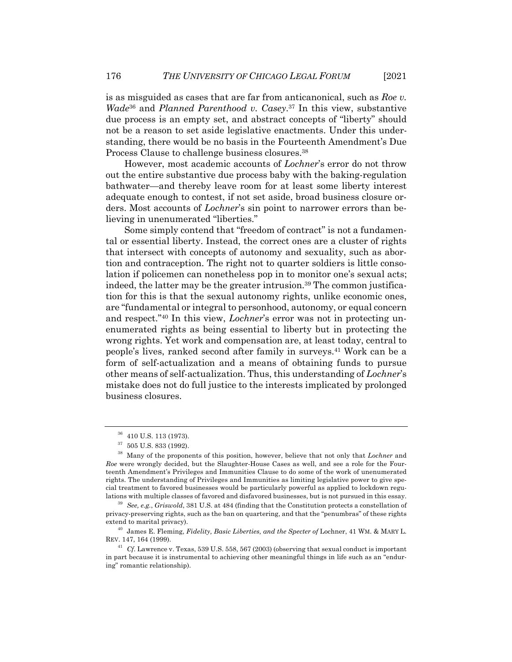is as misguided as cases that are far from anticanonical, such as *Roe v. Wade*<sup>36</sup> and *Planned Parenthood v. Casey*. <sup>37</sup> In this view, substantive due process is an empty set, and abstract concepts of "liberty" should not be a reason to set aside legislative enactments. Under this understanding, there would be no basis in the Fourteenth Amendment's Due Process Clause to challenge business closures.38

However, most academic accounts of *Lochner*'s error do not throw out the entire substantive due process baby with the baking-regulation bathwater—and thereby leave room for at least some liberty interest adequate enough to contest, if not set aside, broad business closure orders. Most accounts of *Lochner*'s sin point to narrower errors than believing in unenumerated "liberties."

Some simply contend that "freedom of contract" is not a fundamental or essential liberty. Instead, the correct ones are a cluster of rights that intersect with concepts of autonomy and sexuality, such as abortion and contraception. The right not to quarter soldiers is little consolation if policemen can nonetheless pop in to monitor one's sexual acts; indeed, the latter may be the greater intrusion.<sup>39</sup> The common justification for this is that the sexual autonomy rights, unlike economic ones, are "fundamental or integral to personhood, autonomy, or equal concern and respect."40 In this view, *Lochner*'s error was not in protecting unenumerated rights as being essential to liberty but in protecting the wrong rights. Yet work and compensation are, at least today, central to people's lives, ranked second after family in surveys.41 Work can be a form of self-actualization and a means of obtaining funds to pursue other means of self-actualization. Thus, this understanding of *Lochner*'s mistake does not do full justice to the interests implicated by prolonged business closures.

<sup>36</sup> 410 U.S. 113 (1973).

 $37$  505 U.S. 833 (1992).

<sup>38</sup> Many of the proponents of this position, however, believe that not only that *Lochner* and *Roe* were wrongly decided, but the Slaughter-House Cases as well, and see a role for the Fourteenth Amendment's Privileges and Immunities Clause to do some of the work of unenumerated rights. The understanding of Privileges and Immunities as limiting legislative power to give special treatment to favored businesses would be particularly powerful as applied to lockdown regulations with multiple classes of favored and disfavored businesses, but is not pursued in this essay.

<sup>39</sup> *See, e.g.*, *Griswold*, 381 U.S. at 484 (finding that the Constitution protects a constellation of privacy-preserving rights, such as the ban on quartering, and that the "penumbras" of these rights extend to marital privacy).

<sup>40</sup> James E. Fleming, *Fidelity, Basic Liberties, and the Specter of* Lochner, 41 WM. & MARY L. REV. 147, 164 (1999).

<sup>41</sup> *Cf.* Lawrence v. Texas, 539 U.S. 558, 567 (2003) (observing that sexual conduct is important in part because it is instrumental to achieving other meaningful things in life such as an "enduring" romantic relationship).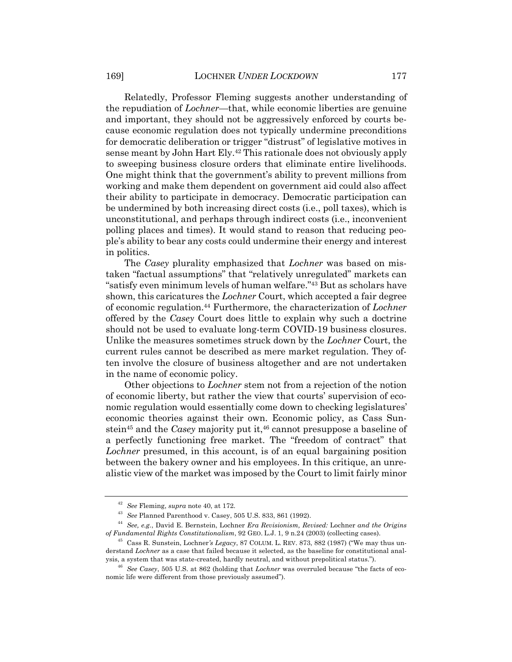Relatedly, Professor Fleming suggests another understanding of the repudiation of *Lochner*—that, while economic liberties are genuine and important, they should not be aggressively enforced by courts because economic regulation does not typically undermine preconditions for democratic deliberation or trigger "distrust" of legislative motives in sense meant by John Hart Ely.42 This rationale does not obviously apply to sweeping business closure orders that eliminate entire livelihoods. One might think that the government's ability to prevent millions from working and make them dependent on government aid could also affect their ability to participate in democracy. Democratic participation can be undermined by both increasing direct costs (i.e., poll taxes), which is unconstitutional, and perhaps through indirect costs (i.e., inconvenient polling places and times). It would stand to reason that reducing people's ability to bear any costs could undermine their energy and interest in politics.

The *Casey* plurality emphasized that *Lochner* was based on mistaken "factual assumptions" that "relatively unregulated" markets can "satisfy even minimum levels of human welfare."43 But as scholars have shown, this caricatures the *Lochner* Court, which accepted a fair degree of economic regulation.44 Furthermore, the characterization of *Lochner* offered by the *Casey* Court does little to explain why such a doctrine should not be used to evaluate long-term COVID-19 business closures. Unlike the measures sometimes struck down by the *Lochner* Court, the current rules cannot be described as mere market regulation. They often involve the closure of business altogether and are not undertaken in the name of economic policy.

Other objections to *Lochner* stem not from a rejection of the notion of economic liberty, but rather the view that courts' supervision of economic regulation would essentially come down to checking legislatures' economic theories against their own. Economic policy, as Cass Sunstein<sup>45</sup> and the *Casey* majority put it,<sup>46</sup> cannot presuppose a baseline of a perfectly functioning free market. The "freedom of contract" that *Lochner* presumed, in this account, is of an equal bargaining position between the bakery owner and his employees. In this critique, an unrealistic view of the market was imposed by the Court to limit fairly minor

<sup>42</sup> *See* Fleming, *supra* note 40, at 172.

<sup>43</sup> *See* Planned Parenthood v. Casey, 505 U.S. 833, 861 (1992).

<sup>44</sup> *See, e.g.*, David E. Bernstein, Lochner *Era Revisionism, Revised:* Lochner *and the Origins of Fundamental Rights Constitutionalism*, 92 GEO. L.J. 1, 9 n.24 (2003) (collecting cases).

<sup>45</sup> Cass R. Sunstein, Lochner*'s Legacy*, 87 COLUM. L. REV. 873, 882 (1987) ("We may thus understand *Lochner* as a case that failed because it selected, as the baseline for constitutional analysis, a system that was state-created, hardly neutral, and without prepolitical status.").

<sup>46</sup> *See Casey*, 505 U.S. at 862 (holding that *Lochner* was overruled because "the facts of economic life were different from those previously assumed").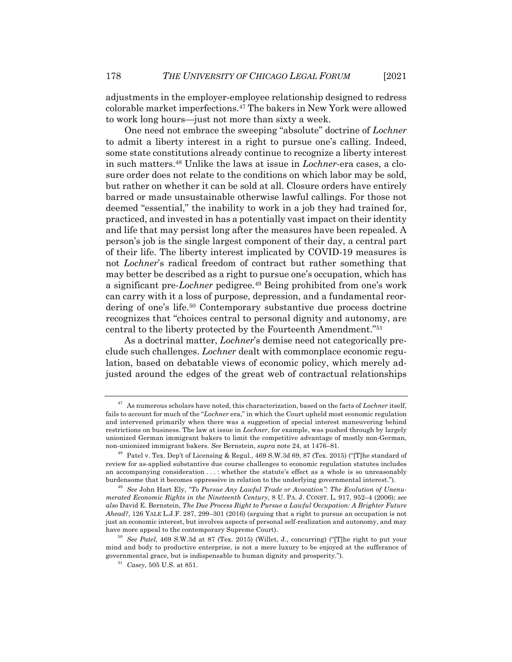adjustments in the employer-employee relationship designed to redress colorable market imperfections.47 The bakers in New York were allowed to work long hours—just not more than sixty a week.

One need not embrace the sweeping "absolute" doctrine of *Lochner* to admit a liberty interest in a right to pursue one's calling. Indeed, some state constitutions already continue to recognize a liberty interest in such matters.48 Unlike the laws at issue in *Lochner*-era cases, a closure order does not relate to the conditions on which labor may be sold, but rather on whether it can be sold at all. Closure orders have entirely barred or made unsustainable otherwise lawful callings. For those not deemed "essential," the inability to work in a job they had trained for, practiced, and invested in has a potentially vast impact on their identity and life that may persist long after the measures have been repealed. A person's job is the single largest component of their day, a central part of their life. The liberty interest implicated by COVID-19 measures is not *Lochner*'s radical freedom of contract but rather something that may better be described as a right to pursue one's occupation, which has a significant pre-*Lochner* pedigree.49 Being prohibited from one's work can carry with it a loss of purpose, depression, and a fundamental reordering of one's life.50 Contemporary substantive due process doctrine recognizes that "choices central to personal dignity and autonomy, are central to the liberty protected by the Fourteenth Amendment."51

As a doctrinal matter, *Lochner*'s demise need not categorically preclude such challenges. *Lochner* dealt with commonplace economic regulation, based on debatable views of economic policy, which merely adjusted around the edges of the great web of contractual relationships

<sup>47</sup> As numerous scholars have noted, this characterization, based on the facts of *Lochner* itself, fails to account for much of the "*Lochner* era," in which the Court upheld most economic regulation and intervened primarily when there was a suggestion of special interest maneuvering behind restrictions on business. The law at issue in *Lochner*, for example, was pushed through by largely unionized German immigrant bakers to limit the competitive advantage of mostly non-German, non-unionized immigrant bakers. *See* Bernstein, *supra* note 24, at 1476–81.

<sup>48</sup> Patel v. Tex. Dep't of Licensing & Regul., 469 S.W.3d 69, 87 (Tex. 2015) ("[T]he standard of review for as-applied substantive due course challenges to economic regulation statutes includes an accompanying consideration . . . : whether the statute's effect as a whole is so unreasonably burdensome that it becomes oppressive in relation to the underlying governmental interest.").

<sup>49</sup> *See* John Hart Ely, *"To Pursue Any Lawful Trade or Avocation": The Evolution of Unenumerated Economic Rights in the Nineteenth Century*, 8 U. PA. J. CONST. L. 917, 952–4 (2006); *see also* David E. Bernstein, *The Due Process Right to Pursue a Lawful Occupation: A Brighter Future Ahead?*, 126 YALE L.J.F. 287, 299–301 (2016) (arguing that a right to pursue an occupation is not just an economic interest, but involves aspects of personal self-realization and autonomy, and may have more appeal to the contemporary Supreme Court).

<sup>50</sup> *See Patel*, 469 S.W.3d at 87 (Tex. 2015) (Willet, J., concurring) ("[T]he right to put your mind and body to productive enterprise, is not a mere luxury to be enjoyed at the sufferance of governmental grace, but is indispensable to human dignity and prosperity.").

<sup>51</sup> *Casey*, 505 U.S. at 851.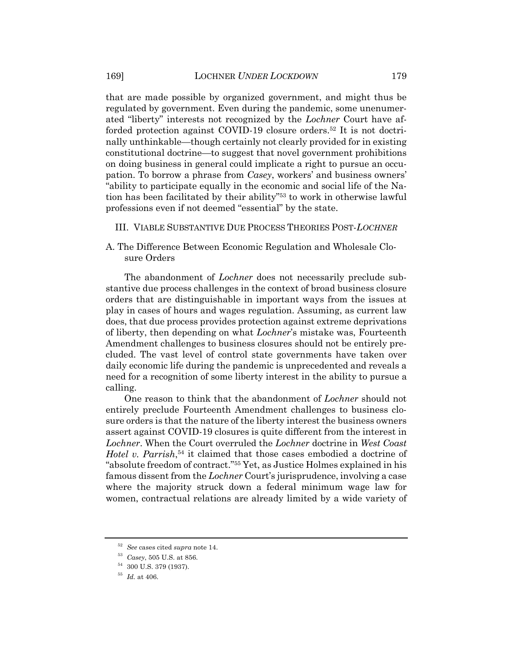that are made possible by organized government, and might thus be regulated by government. Even during the pandemic, some unenumerated "liberty" interests not recognized by the *Lochner* Court have afforded protection against COVID-19 closure orders.52 It is not doctrinally unthinkable—though certainly not clearly provided for in existing constitutional doctrine—to suggest that novel government prohibitions on doing business in general could implicate a right to pursue an occupation. To borrow a phrase from *Casey*, workers' and business owners' "ability to participate equally in the economic and social life of the Nation has been facilitated by their ability"53 to work in otherwise lawful professions even if not deemed "essential" by the state.

III. VIABLE SUBSTANTIVE DUE PROCESS THEORIES POST-*LOCHNER*

A. The Difference Between Economic Regulation and Wholesale Closure Orders

The abandonment of *Lochner* does not necessarily preclude substantive due process challenges in the context of broad business closure orders that are distinguishable in important ways from the issues at play in cases of hours and wages regulation. Assuming, as current law does, that due process provides protection against extreme deprivations of liberty, then depending on what *Lochner*'s mistake was, Fourteenth Amendment challenges to business closures should not be entirely precluded. The vast level of control state governments have taken over daily economic life during the pandemic is unprecedented and reveals a need for a recognition of some liberty interest in the ability to pursue a calling.

One reason to think that the abandonment of *Lochner* should not entirely preclude Fourteenth Amendment challenges to business closure orders is that the nature of the liberty interest the business owners assert against COVID-19 closures is quite different from the interest in *Lochner*. When the Court overruled the *Lochner* doctrine in *West Coast Hotel v. Parrish*, <sup>54</sup> it claimed that those cases embodied a doctrine of "absolute freedom of contract."55 Yet, as Justice Holmes explained in his famous dissent from the *Lochner* Court's jurisprudence, involving a case where the majority struck down a federal minimum wage law for women, contractual relations are already limited by a wide variety of

<sup>52</sup> *See* cases cited *supra* note 14.

<sup>53</sup> *Casey*, 505 U.S. at 856.

<sup>54</sup> 300 U.S. 379 (1937).

 $\,$   $55$   $\,$   $Id.$  at 406.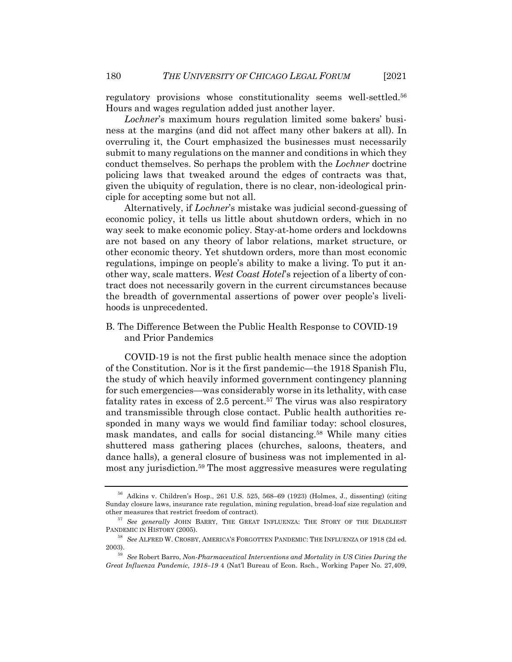regulatory provisions whose constitutionality seems well-settled.56 Hours and wages regulation added just another layer.

*Lochner*'s maximum hours regulation limited some bakers' business at the margins (and did not affect many other bakers at all). In overruling it, the Court emphasized the businesses must necessarily submit to many regulations on the manner and conditions in which they conduct themselves. So perhaps the problem with the *Lochner* doctrine policing laws that tweaked around the edges of contracts was that, given the ubiquity of regulation, there is no clear, non-ideological principle for accepting some but not all.

Alternatively, if *Lochner*'s mistake was judicial second-guessing of economic policy, it tells us little about shutdown orders, which in no way seek to make economic policy. Stay-at-home orders and lockdowns are not based on any theory of labor relations, market structure, or other economic theory. Yet shutdown orders, more than most economic regulations, impinge on people's ability to make a living. To put it another way, scale matters. *West Coast Hotel*'s rejection of a liberty of contract does not necessarily govern in the current circumstances because the breadth of governmental assertions of power over people's livelihoods is unprecedented.

B. The Difference Between the Public Health Response to COVID-19 and Prior Pandemics

COVID-19 is not the first public health menace since the adoption of the Constitution. Nor is it the first pandemic—the 1918 Spanish Flu, the study of which heavily informed government contingency planning for such emergencies—was considerably worse in its lethality, with case fatality rates in excess of 2.5 percent.<sup>57</sup> The virus was also respiratory and transmissible through close contact. Public health authorities responded in many ways we would find familiar today: school closures, mask mandates, and calls for social distancing.58 While many cities shuttered mass gathering places (churches, saloons, theaters, and dance halls), a general closure of business was not implemented in almost any jurisdiction.59 The most aggressive measures were regulating

<sup>56</sup> Adkins v. Children's Hosp., 261 U.S. 525, 568–69 (1923) (Holmes, J., dissenting) (citing Sunday closure laws, insurance rate regulation, mining regulation, bread-loaf size regulation and other measures that restrict freedom of contract).

<sup>57</sup> *See generally* JOHN BARRY, THE GREAT INFLUENZA: THE STORY OF THE DEADLIEST PANDEMIC IN HISTORY (2005).

<sup>58</sup> *See* ALFRED W. CROSBY, AMERICA'S FORGOTTEN PANDEMIC: THE INFLUENZA OF 1918 (2d ed. 2003).

<sup>59</sup> *See* Robert Barro, *Non-Pharmaceutical Interventions and Mortality in US Cities During the Great Influenza Pandemic, 1918–19* 4 (Nat'l Bureau of Econ. Rsch., Working Paper No. 27,409,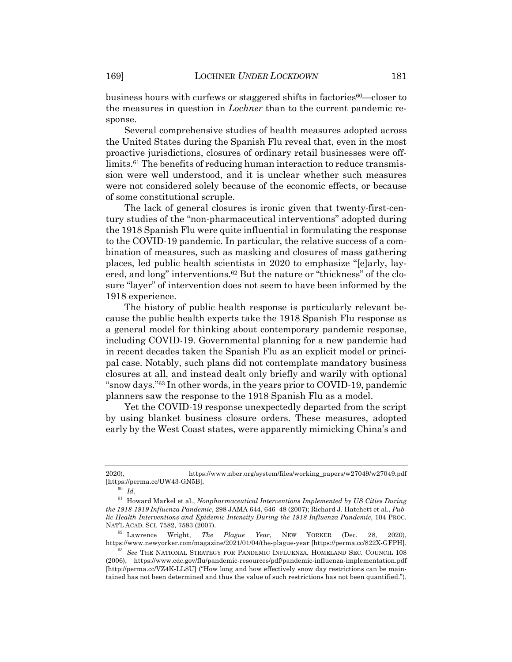business hours with curfews or staggered shifts in factories60—closer to the measures in question in *Lochner* than to the current pandemic response.

Several comprehensive studies of health measures adopted across the United States during the Spanish Flu reveal that, even in the most proactive jurisdictions, closures of ordinary retail businesses were off- $\lim$  limits.<sup>61</sup> The benefits of reducing human interaction to reduce transmission were well understood, and it is unclear whether such measures were not considered solely because of the economic effects, or because of some constitutional scruple.

The lack of general closures is ironic given that twenty-first-century studies of the "non-pharmaceutical interventions" adopted during the 1918 Spanish Flu were quite influential in formulating the response to the COVID-19 pandemic. In particular, the relative success of a combination of measures, such as masking and closures of mass gathering places, led public health scientists in 2020 to emphasize "[e]arly, layered, and long" interventions.62 But the nature or "thickness" of the closure "layer" of intervention does not seem to have been informed by the 1918 experience.

The history of public health response is particularly relevant because the public health experts take the 1918 Spanish Flu response as a general model for thinking about contemporary pandemic response, including COVID-19. Governmental planning for a new pandemic had in recent decades taken the Spanish Flu as an explicit model or principal case. Notably, such plans did not contemplate mandatory business closures at all, and instead dealt only briefly and warily with optional "snow days."63 In other words, in the years prior to COVID-19, pandemic planners saw the response to the 1918 Spanish Flu as a model.

Yet the COVID-19 response unexpectedly departed from the script by using blanket business closure orders. These measures, adopted early by the West Coast states, were apparently mimicking China's and

<sup>2020),</sup> https://www.nber.org/system/files/working\_papers/w27049/w27049.pdf [https://perma.cc/UW43-GN5B].

<sup>60</sup> *Id.*

 $^{61}\,$  Howard Markel et al.,  $Nonpharmacutical\ Intervenitions\ Implemented\ by\ US\ Cities\ During$ *the 1918-1919 Influenza Pandemic*, 298 JAMA 644, 646–48 (2007); Richard J. Hatchett et al., *Public Health Interventions and Epidemic Intensity During the 1918 Influenza Pandemic*, 104 PROC. NAT'L ACAD. SCI. 7582, 7583 (2007).

<sup>62</sup> Lawrence Wright, *The Plague Year*, NEW YORKER (Dec. 28, 2020), https://www.newyorker.com/magazine/2021/01/04/the-plague-year [https://perma.cc/822X-GFPH].

<sup>63</sup> *See* THE NATIONAL STRATEGY FOR PANDEMIC INFLUENZA, HOMELAND SEC. COUNCIL 108 (2006), https://www.cdc.gov/flu/pandemic-resources/pdf/pandemic-influenza-implementation.pdf [http://perma.cc/VZ4K-LL8U] ("How long and how effectively snow day restrictions can be maintained has not been determined and thus the value of such restrictions has not been quantified.").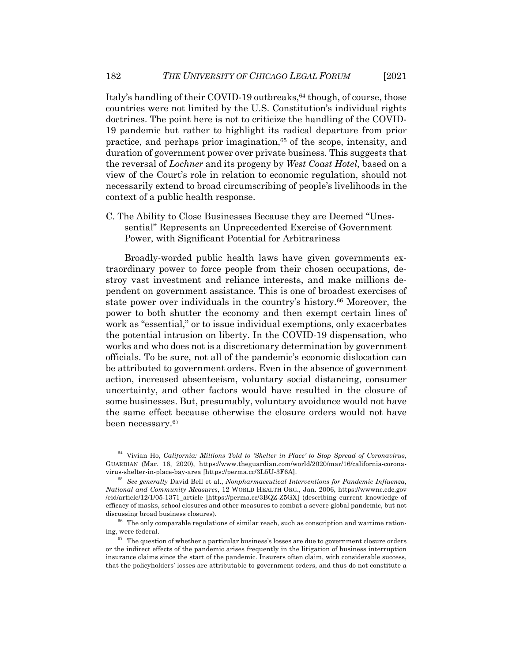Italy's handling of their COVID-19 outbreaks, <sup>64</sup> though, of course, those countries were not limited by the U.S. Constitution's individual rights doctrines. The point here is not to criticize the handling of the COVID-19 pandemic but rather to highlight its radical departure from prior practice, and perhaps prior imagination,<sup>65</sup> of the scope, intensity, and duration of government power over private business. This suggests that the reversal of *Lochner* and its progeny by *West Coast Hotel*, based on a view of the Court's role in relation to economic regulation, should not necessarily extend to broad circumscribing of people's livelihoods in the context of a public health response.

C. The Ability to Close Businesses Because they are Deemed "Unessential" Represents an Unprecedented Exercise of Government Power, with Significant Potential for Arbitrariness

Broadly-worded public health laws have given governments extraordinary power to force people from their chosen occupations, destroy vast investment and reliance interests, and make millions dependent on government assistance. This is one of broadest exercises of state power over individuals in the country's history.<sup>66</sup> Moreover, the power to both shutter the economy and then exempt certain lines of work as "essential," or to issue individual exemptions, only exacerbates the potential intrusion on liberty. In the COVID-19 dispensation, who works and who does not is a discretionary determination by government officials. To be sure, not all of the pandemic's economic dislocation can be attributed to government orders. Even in the absence of government action, increased absenteeism, voluntary social distancing, consumer uncertainty, and other factors would have resulted in the closure of some businesses. But, presumably, voluntary avoidance would not have the same effect because otherwise the closure orders would not have been necessary.67

<sup>64</sup> Vivian Ho, *California: Millions Told to 'Shelter in Place' to Stop Spread of Coronavirus*, GUARDIAN (Mar. 16, 2020), https://www.theguardian.com/world/2020/mar/16/california-coronavirus-shelter-in-place-bay-area [https://perma.cc/3L5U-3F6A].

<sup>65</sup> *See generally* David Bell et al., *Nonpharmaceutical Interventions for Pandemic Influenza, National and Community Measures*, 12 WORLD HEALTH ORG., Jan. 2006, https://wwwnc.cdc.gov /eid/article/12/1/05-1371\_article [https://perma.cc/3BQZ-Z5GX] (describing current knowledge of efficacy of masks, school closures and other measures to combat a severe global pandemic, but not discussing broad business closures).

 $66$  The only comparable regulations of similar reach, such as conscription and wartime rationing, were federal.

 $67$  The question of whether a particular business's losses are due to government closure orders or the indirect effects of the pandemic arises frequently in the litigation of business interruption insurance claims since the start of the pandemic. Insurers often claim, with considerable success, that the policyholders' losses are attributable to government orders, and thus do not constitute a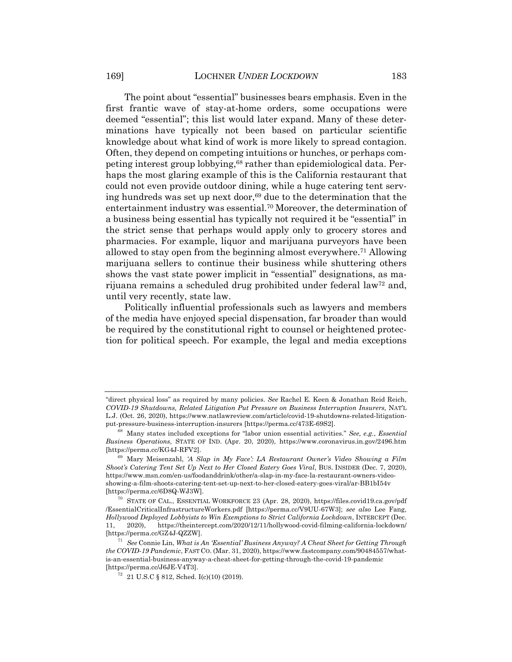The point about "essential" businesses bears emphasis. Even in the first frantic wave of stay-at-home orders, some occupations were deemed "essential"; this list would later expand. Many of these determinations have typically not been based on particular scientific knowledge about what kind of work is more likely to spread contagion. Often, they depend on competing intuitions or hunches, or perhaps competing interest group lobbying,68 rather than epidemiological data. Perhaps the most glaring example of this is the California restaurant that could not even provide outdoor dining, while a huge catering tent serving hundreds was set up next door, $69$  due to the determination that the entertainment industry was essential.70 Moreover, the determination of a business being essential has typically not required it be "essential" in the strict sense that perhaps would apply only to grocery stores and pharmacies. For example, liquor and marijuana purveyors have been allowed to stay open from the beginning almost everywhere.71 Allowing marijuana sellers to continue their business while shuttering others shows the vast state power implicit in "essential" designations, as marijuana remains a scheduled drug prohibited under federal law<sup>72</sup> and, until very recently, state law.

Politically influential professionals such as lawyers and members of the media have enjoyed special dispensation, far broader than would be required by the constitutional right to counsel or heightened protection for political speech. For example, the legal and media exceptions

<sup>&</sup>quot;direct physical loss" as required by many policies. *See* Rachel E. Keen & Jonathan Reid Reich, *COVID-19 Shutdowns, Related Litigation Put Pressure on Business Interruption Insurers,* NAT'L L.J. (Oct. 26, 2020), https://www.natlawreview.com/article/covid-19-shutdowns-related-litigationput-pressure-business-interruption-insurers [https://perma.cc/473E-69S2].

<sup>68</sup> Many states included exceptions for "labor union essential activities." *See, e.g.*, *Essential Business Operations*, STATE OF IND. (Apr. 20, 2020), https://www.coronavirus.in.gov/2496.htm [https://perma.cc/KG4J-RFV2].

<sup>69</sup> Mary Meisenzahl, *'A Slap in My Face': LA Restaurant Owner's Video Showing a Film Shoot's Catering Tent Set Up Next to Her Closed Eatery Goes Viral*, BUS. INSIDER (Dec. 7, 2020), https://www.msn.com/en-us/foodanddrink/other/a-slap-in-my-face-la-restaurant-owners-videoshowing-a-film-shoots-catering-tent-set-up-next-to-her-closed-eatery-goes-viral/ar-BB1bI54v [https://perma.cc/6D8Q-WJ3W].

STATE OF CAL., ESSENTIAL WORKFORCE 23 (Apr. 28, 2020), https://files.covid19.ca.gov/pdf /EssentialCriticalInfrastructureWorkers.pdf [https://perma.cc/V9UU-67W3]; *see also* Lee Fang, *Hollywood Deployed Lobbyists to Win Exemptions to Strict California Lockdown*, INTERCEPT (Dec. 11, 2020), https://theintercept.com/2020/12/11/hollywood-covid-filming-california-lockdown/ [https://perma.cc/GZ4J-QZZW].

<sup>71</sup> *See* Connie Lin, *What is An 'Essential' Business Anyway? A Cheat Sheet for Getting Through the COVID-19 Pandemic*, FAST CO. (Mar. 31, 2020), https://www.fastcompany.com/90484557/whatis-an-essential-business-anyway-a-cheat-sheet-for-getting-through-the-covid-19-pandemic [https://perma.cc/J6JE-V4T3].

 $72$  21 U.S.C § 812, Sched. I(c)(10) (2019).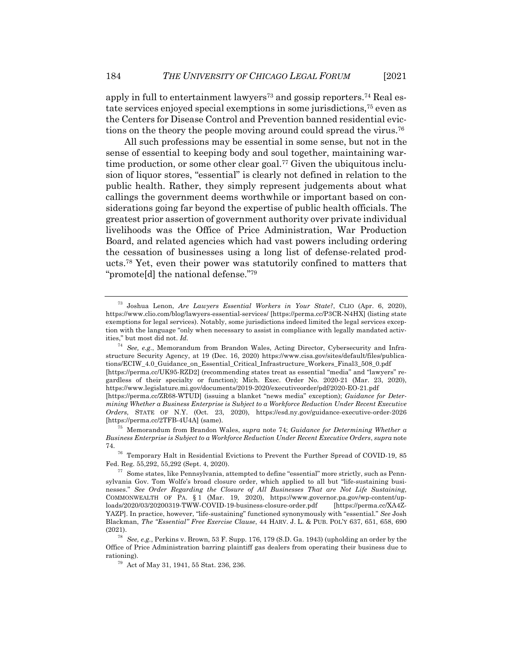apply in full to entertainment lawyers<sup>73</sup> and gossip reporters.<sup>74</sup> Real estate services enjoyed special exemptions in some jurisdictions,75 even as the Centers for Disease Control and Prevention banned residential evictions on the theory the people moving around could spread the virus.76

All such professions may be essential in some sense, but not in the sense of essential to keeping body and soul together, maintaining wartime production, or some other clear goal.<sup>77</sup> Given the ubiquitous inclusion of liquor stores, "essential" is clearly not defined in relation to the public health. Rather, they simply represent judgements about what callings the government deems worthwhile or important based on considerations going far beyond the expertise of public health officials. The greatest prior assertion of government authority over private individual livelihoods was the Office of Price Administration, War Production Board, and related agencies which had vast powers including ordering the cessation of businesses using a long list of defense-related products.78 Yet, even their power was statutorily confined to matters that "promote[d] the national defense."79

<sup>75</sup> Memorandum from Brandon Wales, *supra* note 74; *Guidance for Determining Whether a Business Enterprise is Subject to a Workforce Reduction Under Recent Executive Orders*, *supra* note 74.

 $^{76}\,$  Temporary Halt in Residential Evictions to Prevent the Further Spread of COVID-19, 85 Fed. Reg. 55,292, 55,292 (Sept. 4, 2020).

<sup>73</sup> Joshua Lenon, *Are Lawyers Essential Workers in Your State?*, CLIO (Apr. 6, 2020), https://www.clio.com/blog/lawyers-essential-services/ [https://perma.cc/P3CR-N4HX] (listing state exemptions for legal services). Notably, some jurisdictions indeed limited the legal services exception with the language "only when necessary to assist in compliance with legally mandated activities," but most did not. *Id.*

<sup>74</sup> *See, e.g.*, Memorandum from Brandon Wales, Acting Director, Cybersecurity and Infrastructure Security Agency, at 19 (Dec. 16, 2020) https://www.cisa.gov/sites/default/files/publications/ECIW\_4.0\_Guidance\_on\_Essential\_Critical\_Infrastructure\_Workers\_Final3\_508\_0.pdf [https://perma.cc/UK95-RZD2] (recommending states treat as essential "media" and "lawyers" regardless of their specialty or function); Mich. Exec. Order No. 2020-21 (Mar. 23, 2020), https://www.legislature.mi.gov/documents/2019-2020/executiveorder/pdf/2020-EO-21.pdf [https://perma.cc/ZR68-WTUD] (issuing a blanket "news media" exception); *Guidance for Determining Whether a Business Enterprise is Subject to a Workforce Reduction Under Recent Executive Orders*, STATE OF N.Y. (Oct. 23, 2020), https://esd.ny.gov/guidance-executive-order-2026 [https://perma.cc/2TFB-4U4A] (same).

 $77$  Some states, like Pennsylvania, attempted to define "essential" more strictly, such as Pennsylvania Gov. Tom Wolfe's broad closure order, which applied to all but "life-sustaining businesses." *See Order Regarding the Closure of All Businesses That are Not Life Sustaining*, COMMONWEALTH OF PA. § 1 (Mar. 19, 2020), https://www.governor.pa.gov/wp-content/uploads/2020/03/20200319-TWW-COVID-19-business-closure-order.pdf [https://perma.cc/XA4Z-YAZP]. In practice, however, "life-sustaining" functioned synonymously with "essential." *See* Josh Blackman, *The "Essential" Free Exercise Clause*, 44 HARV. J. L. & PUB. POL'Y 637, 651, 658, 690 (2021).

<sup>78</sup> *See, e.g.*, Perkins v. Brown, 53 F. Supp. 176, 179 (S.D. Ga. 1943) (upholding an order by the Office of Price Administration barring plaintiff gas dealers from operating their business due to rationing).

<sup>79</sup> Act of May 31, 1941, 55 Stat. 236, 236.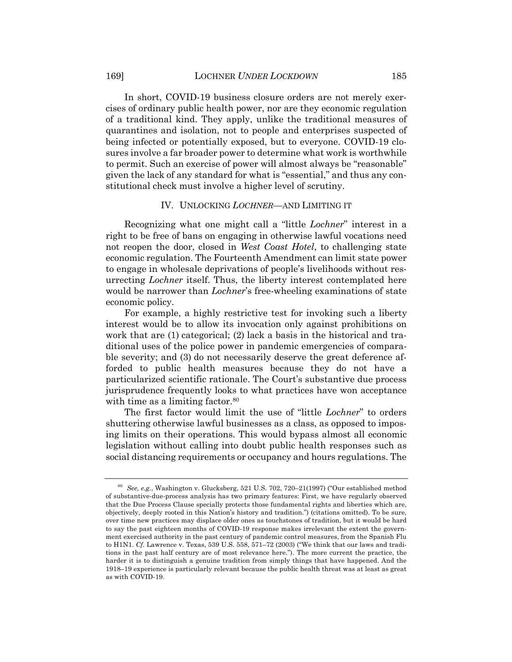In short, COVID-19 business closure orders are not merely exercises of ordinary public health power, nor are they economic regulation of a traditional kind. They apply, unlike the traditional measures of quarantines and isolation, not to people and enterprises suspected of being infected or potentially exposed, but to everyone. COVID-19 closures involve a far broader power to determine what work is worthwhile to permit. Such an exercise of power will almost always be "reasonable" given the lack of any standard for what is "essential," and thus any constitutional check must involve a higher level of scrutiny.

#### IV. UNLOCKING *LOCHNER*—AND LIMITING IT

Recognizing what one might call a "little *Lochner*" interest in a right to be free of bans on engaging in otherwise lawful vocations need not reopen the door, closed in *West Coast Hotel*, to challenging state economic regulation. The Fourteenth Amendment can limit state power to engage in wholesale deprivations of people's livelihoods without resurrecting *Lochner* itself. Thus, the liberty interest contemplated here would be narrower than *Lochner*'s free-wheeling examinations of state economic policy.

For example, a highly restrictive test for invoking such a liberty interest would be to allow its invocation only against prohibitions on work that are (1) categorical; (2) lack a basis in the historical and traditional uses of the police power in pandemic emergencies of comparable severity; and (3) do not necessarily deserve the great deference afforded to public health measures because they do not have a particularized scientific rationale. The Court's substantive due process jurisprudence frequently looks to what practices have won acceptance with time as a limiting factor.<sup>80</sup>

The first factor would limit the use of "little *Lochner*" to orders shuttering otherwise lawful businesses as a class, as opposed to imposing limits on their operations. This would bypass almost all economic legislation without calling into doubt public health responses such as social distancing requirements or occupancy and hours regulations. The

<sup>80</sup> *See, e.g.*, Washington v. Glucksberg, 521 U.S. 702, 720–21(1997) ("Our established method of substantive-due-process analysis has two primary features: First, we have regularly observed that the Due Process Clause specially protects those fundamental rights and liberties which are, objectively, deeply rooted in this Nation's history and tradition.") (citations omitted). To be sure, over time new practices may displace older ones as touchstones of tradition, but it would be hard to say the past eighteen months of COVID-19 response makes irrelevant the extent the government exercised authority in the past century of pandemic control measures, from the Spanish Flu to H1N1. *Cf.* Lawrence v. Texas, 539 U.S. 558, 571–72 (2003) ("We think that our laws and traditions in the past half century are of most relevance here."). The more current the practice, the harder it is to distinguish a genuine tradition from simply things that have happened. And the 1918–19 experience is particularly relevant because the public health threat was at least as great as with COVID-19.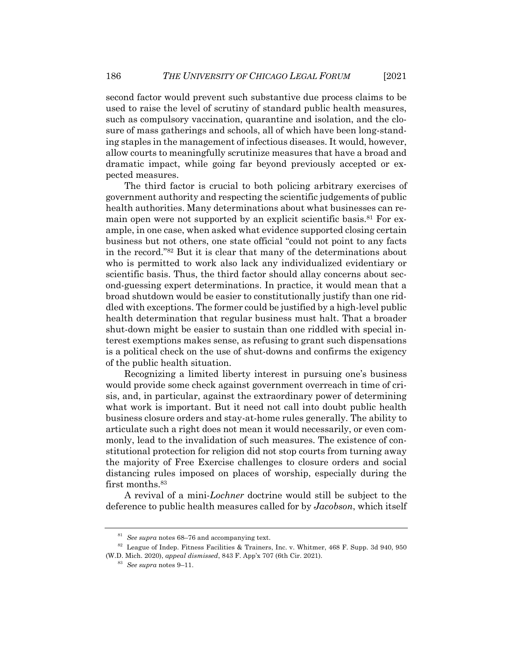second factor would prevent such substantive due process claims to be used to raise the level of scrutiny of standard public health measures, such as compulsory vaccination, quarantine and isolation, and the closure of mass gatherings and schools, all of which have been long-standing staples in the management of infectious diseases. It would, however, allow courts to meaningfully scrutinize measures that have a broad and dramatic impact, while going far beyond previously accepted or expected measures.

The third factor is crucial to both policing arbitrary exercises of government authority and respecting the scientific judgements of public health authorities. Many determinations about what businesses can remain open were not supported by an explicit scientific basis.<sup>81</sup> For example, in one case, when asked what evidence supported closing certain business but not others, one state official "could not point to any facts in the record."82 But it is clear that many of the determinations about who is permitted to work also lack any individualized evidentiary or scientific basis. Thus, the third factor should allay concerns about second-guessing expert determinations. In practice, it would mean that a broad shutdown would be easier to constitutionally justify than one riddled with exceptions. The former could be justified by a high-level public health determination that regular business must halt. That a broader shut-down might be easier to sustain than one riddled with special interest exemptions makes sense, as refusing to grant such dispensations is a political check on the use of shut-downs and confirms the exigency of the public health situation.

Recognizing a limited liberty interest in pursuing one's business would provide some check against government overreach in time of crisis, and, in particular, against the extraordinary power of determining what work is important. But it need not call into doubt public health business closure orders and stay-at-home rules generally. The ability to articulate such a right does not mean it would necessarily, or even commonly, lead to the invalidation of such measures. The existence of constitutional protection for religion did not stop courts from turning away the majority of Free Exercise challenges to closure orders and social distancing rules imposed on places of worship, especially during the first months.<sup>83</sup>

A revival of a mini-*Lochner* doctrine would still be subject to the deference to public health measures called for by *Jacobson*, which itself

<sup>81</sup> *See supra* notes 68–76 and accompanying text.

<sup>82</sup> League of Indep. Fitness Facilities & Trainers, Inc. v. Whitmer, 468 F. Supp. 3d 940, 950 (W.D. Mich. 2020), *appeal dismissed*, 843 F. App'x 707 (6th Cir. 2021).

<sup>83</sup> *See supra* notes 9–11.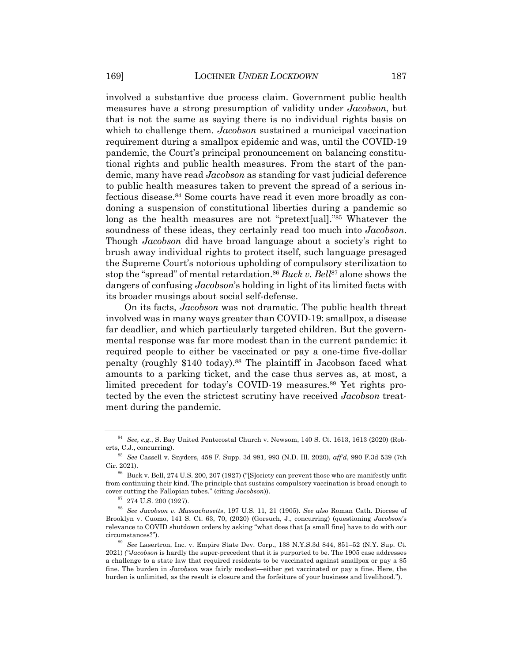involved a substantive due process claim. Government public health measures have a strong presumption of validity under *Jacobson*, but that is not the same as saying there is no individual rights basis on which to challenge them. *Jacobson* sustained a municipal vaccination requirement during a smallpox epidemic and was, until the COVID-19 pandemic, the Court's principal pronouncement on balancing constitutional rights and public health measures. From the start of the pandemic, many have read *Jacobson* as standing for vast judicial deference to public health measures taken to prevent the spread of a serious infectious disease.84 Some courts have read it even more broadly as condoning a suspension of constitutional liberties during a pandemic so long as the health measures are not "pretext[ual]."<sup>85</sup> Whatever the soundness of these ideas, they certainly read too much into *Jacobson*. Though *Jacobson* did have broad language about a society's right to brush away individual rights to protect itself, such language presaged the Supreme Court's notorious upholding of compulsory sterilization to stop the "spread" of mental retardation.86 *Buck v. Bell*<sup>87</sup> alone shows the dangers of confusing *Jacobson*'s holding in light of its limited facts with its broader musings about social self-defense.

On its facts, *Jacobson* was not dramatic. The public health threat involved was in many ways greater than COVID-19: smallpox, a disease far deadlier, and which particularly targeted children. But the governmental response was far more modest than in the current pandemic: it required people to either be vaccinated or pay a one-time five-dollar penalty (roughly \$140 today).<sup>88</sup> The plaintiff in Jacobson faced what amounts to a parking ticket, and the case thus serves as, at most, a limited precedent for today's COVID-19 measures.<sup>89</sup> Yet rights protected by the even the strictest scrutiny have received *Jacobson* treatment during the pandemic.

<sup>84</sup> *See, e.g.*, S. Bay United Pentecostal Church v. Newsom, 140 S. Ct. 1613, 1613 (2020) (Roberts, C.J., concurring).

<sup>85</sup> *See* Cassell v. Snyders, 458 F. Supp. 3d 981, 993 (N.D. Ill. 2020), *aff'd*, 990 F.3d 539 (7th Cir. 2021).

 $^{86}\,$  Buck v. Bell, 274 U.S. 200, 207 (1927) ("[S]ociety can prevent those who are manifestly unfit from continuing their kind. The principle that sustains compulsory vaccination is broad enough to cover cutting the Fallopian tubes." (citing *Jacobson*)).

 $87$  274 U.S. 200 (1927).

<sup>88</sup> *See Jacobson v. Massachusetts*, 197 U.S. 11, 21 (1905). *See also* Roman Cath. Diocese of Brooklyn v. Cuomo, 141 S. Ct. 63, 70, (2020) (Gorsuch, J., concurring) (questioning *Jacobson*'s relevance to COVID shutdown orders by asking "what does that [a small fine] have to do with our circumstances?").

<sup>89</sup> *See* Lasertron, Inc. v. Empire State Dev. Corp., 138 N.Y.S.3d 844, 851–52 (N.Y. Sup. Ct. 2021) *("Jacobson* is hardly the super-precedent that it is purported to be. The 1905 case addresses a challenge to a state law that required residents to be vaccinated against smallpox or pay a \$5 fine. The burden in *Jacobson* was fairly modest—either get vaccinated or pay a fine. Here, the burden is unlimited, as the result is closure and the forfeiture of your business and livelihood.").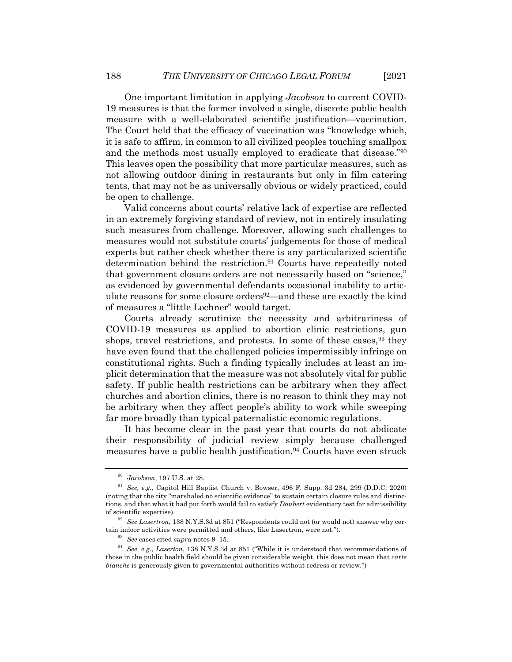One important limitation in applying *Jacobson* to current COVID-19 measures is that the former involved a single, discrete public health measure with a well-elaborated scientific justification—vaccination. The Court held that the efficacy of vaccination was "knowledge which, it is safe to affirm, in common to all civilized peoples touching smallpox and the methods most usually employed to eradicate that disease."90 This leaves open the possibility that more particular measures, such as not allowing outdoor dining in restaurants but only in film catering tents, that may not be as universally obvious or widely practiced, could be open to challenge.

Valid concerns about courts' relative lack of expertise are reflected in an extremely forgiving standard of review, not in entirely insulating such measures from challenge. Moreover, allowing such challenges to measures would not substitute courts' judgements for those of medical experts but rather check whether there is any particularized scientific determination behind the restriction.91 Courts have repeatedly noted that government closure orders are not necessarily based on "science," as evidenced by governmental defendants occasional inability to articulate reasons for some closure orders<sup>92</sup>—and these are exactly the kind of measures a "little Lochner" would target.

Courts already scrutinize the necessity and arbitrariness of COVID-19 measures as applied to abortion clinic restrictions, gun shops, travel restrictions, and protests. In some of these cases,<sup>93</sup> they have even found that the challenged policies impermissibly infringe on constitutional rights. Such a finding typically includes at least an implicit determination that the measure was not absolutely vital for public safety. If public health restrictions can be arbitrary when they affect churches and abortion clinics, there is no reason to think they may not be arbitrary when they affect people's ability to work while sweeping far more broadly than typical paternalistic economic regulations.

It has become clear in the past year that courts do not abdicate their responsibility of judicial review simply because challenged measures have a public health justification.<sup>94</sup> Courts have even struck

<sup>90</sup> *Jacobson*, 197 U.S. at 28.

<sup>91</sup> *See, e.g.*, Capitol Hill Baptist Church v. Bowser, 496 F. Supp. 3d 284, 299 (D.D.C. 2020) (noting that the city "marshaled no scientific evidence" to sustain certain closure rules and distinctions, and that what it had put forth would fail to satisfy *Daubert* evidentiary test for admissibility of scientific expertise).

<sup>92</sup> *See Lasertron*, 138 N.Y.S.3d at 851 ("Respondents could not (or would not) answer why certain indoor activities were permitted and others, like Lasertron, were not.").

<sup>93</sup> *See* cases cited *supra* notes 9–15.

<sup>94</sup> *See, e.g.*, *Laserton*, 138 N.Y.S.3d at 851 ("While it is understood that recommendations of those in the public health field should be given considerable weight, this does not mean that *carte blanche* is generously given to governmental authorities without redress or review.")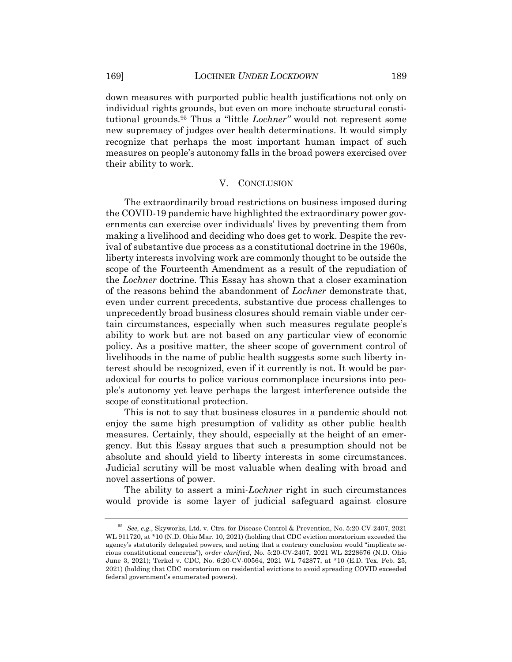down measures with purported public health justifications not only on individual rights grounds, but even on more inchoate structural constitutional grounds.95 Thus a "little *Lochner"* would not represent some new supremacy of judges over health determinations. It would simply recognize that perhaps the most important human impact of such measures on people's autonomy falls in the broad powers exercised over their ability to work.

#### V. CONCLUSION

The extraordinarily broad restrictions on business imposed during the COVID-19 pandemic have highlighted the extraordinary power governments can exercise over individuals' lives by preventing them from making a livelihood and deciding who does get to work. Despite the revival of substantive due process as a constitutional doctrine in the 1960s, liberty interests involving work are commonly thought to be outside the scope of the Fourteenth Amendment as a result of the repudiation of the *Lochner* doctrine. This Essay has shown that a closer examination of the reasons behind the abandonment of *Lochner* demonstrate that, even under current precedents, substantive due process challenges to unprecedently broad business closures should remain viable under certain circumstances, especially when such measures regulate people's ability to work but are not based on any particular view of economic policy. As a positive matter, the sheer scope of government control of livelihoods in the name of public health suggests some such liberty interest should be recognized, even if it currently is not. It would be paradoxical for courts to police various commonplace incursions into people's autonomy yet leave perhaps the largest interference outside the scope of constitutional protection.

This is not to say that business closures in a pandemic should not enjoy the same high presumption of validity as other public health measures. Certainly, they should, especially at the height of an emergency. But this Essay argues that such a presumption should not be absolute and should yield to liberty interests in some circumstances. Judicial scrutiny will be most valuable when dealing with broad and novel assertions of power.

The ability to assert a mini-*Lochner* right in such circumstances would provide is some layer of judicial safeguard against closure

<sup>95</sup> *See, e.g.*, Skyworks, Ltd. v. Ctrs. for Disease Control & Prevention, No. 5:20-CV-2407, 2021 WL 911720, at \*10 (N.D. Ohio Mar. 10, 2021) (holding that CDC eviction moratorium exceeded the agency's statutorily delegated powers, and noting that a contrary conclusion would "implicate serious constitutional concerns"), *order clarified*, No. 5:20-CV-2407, 2021 WL 2228676 (N.D. Ohio June 3, 2021); Terkel v. CDC, No. 6:20-CV-00564, 2021 WL 742877, at \*10 (E.D. Tex. Feb. 25, 2021) (holding that CDC moratorium on residential evictions to avoid spreading COVID exceeded federal government's enumerated powers).